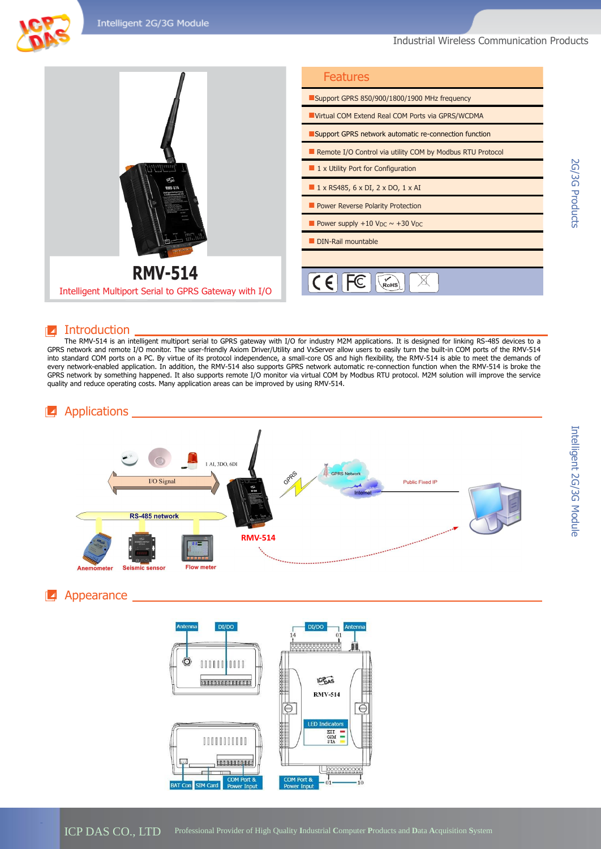Industrial Wireless Communication Products



#### **Introduction**

The RMV-514 is an intelligent multiport serial to GPRS gateway with I/O for industry M2M applications. It is designed for linking RS-485 devices to a GPRS network and remote I/O monitor. The user-friendly Axiom Driver/Utility and VxServer allow users to easily turn the built-in COM ports of the RMV-514 into standard COM ports on a PC. By virtue of its protocol independence, a small-core OS and high flexibility, the RMV-514 is able to meet the demands of every network-enabled application. In addition, the RMV-514 also supports GPRS network automatic re-connection function when the RMV-514 is broke the GPRS network by something happened. It also supports remote I/O monitor via virtual COM by Modbus RTU protocol. M2M solution will improve the service quality and reduce operating costs. Many application areas can be improved by using RMV-514.



### **4** Appearance



ICP DAS CO., LTD Professional Provider of High Quality **I**ndustrial **C**omputer **P**roducts and **D**ata **A**cquisition **S**ystem